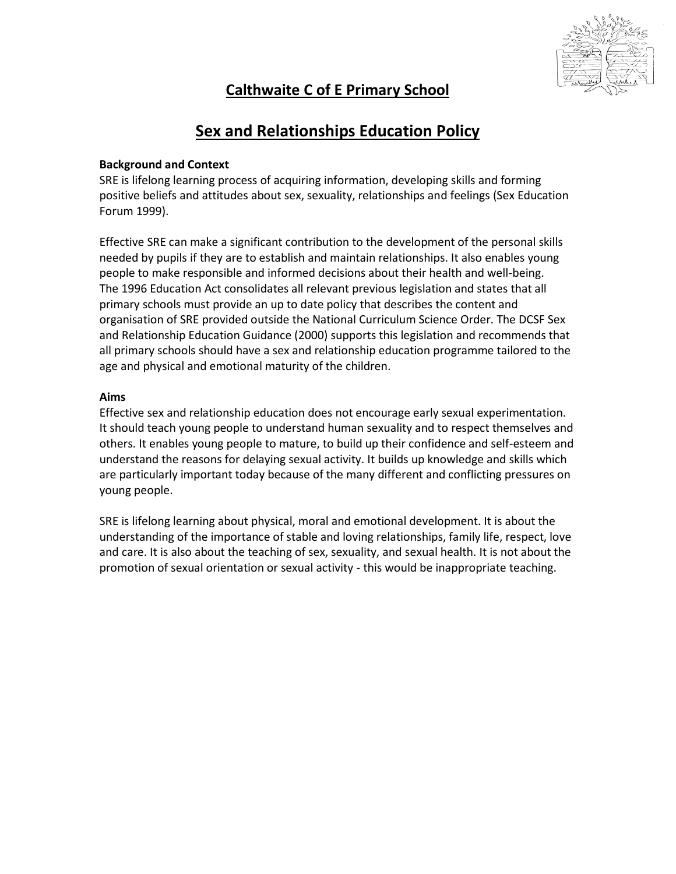

# **Calthwaite C of E Primary School**

# **Sex and Relationships Education Policy**

# **Background and Context**

SRE is lifelong learning process of acquiring information, developing skills and forming positive beliefs and attitudes about sex, sexuality, relationships and feelings (Sex Education Forum 1999).

Effective SRE can make a significant contribution to the development of the personal skills needed by pupils if they are to establish and maintain relationships. It also enables young people to make responsible and informed decisions about their health and well-being. The 1996 Education Act consolidates all relevant previous legislation and states that all primary schools must provide an up to date policy that describes the content and organisation of SRE provided outside the National Curriculum Science Order. The DCSF Sex and Relationship Education Guidance (2000) supports this legislation and recommends that all primary schools should have a sex and relationship education programme tailored to the age and physical and emotional maturity of the children.

# **Aims**

Effective sex and relationship education does not encourage early sexual experimentation. It should teach young people to understand human sexuality and to respect themselves and others. It enables young people to mature, to build up their confidence and self-esteem and understand the reasons for delaying sexual activity. It builds up knowledge and skills which are particularly important today because of the many different and conflicting pressures on young people.

SRE is lifelong learning about physical, moral and emotional development. It is about the understanding of the importance of stable and loving relationships, family life, respect, love and care. It is also about the teaching of sex, sexuality, and sexual health. It is not about the promotion of sexual orientation or sexual activity - this would be inappropriate teaching.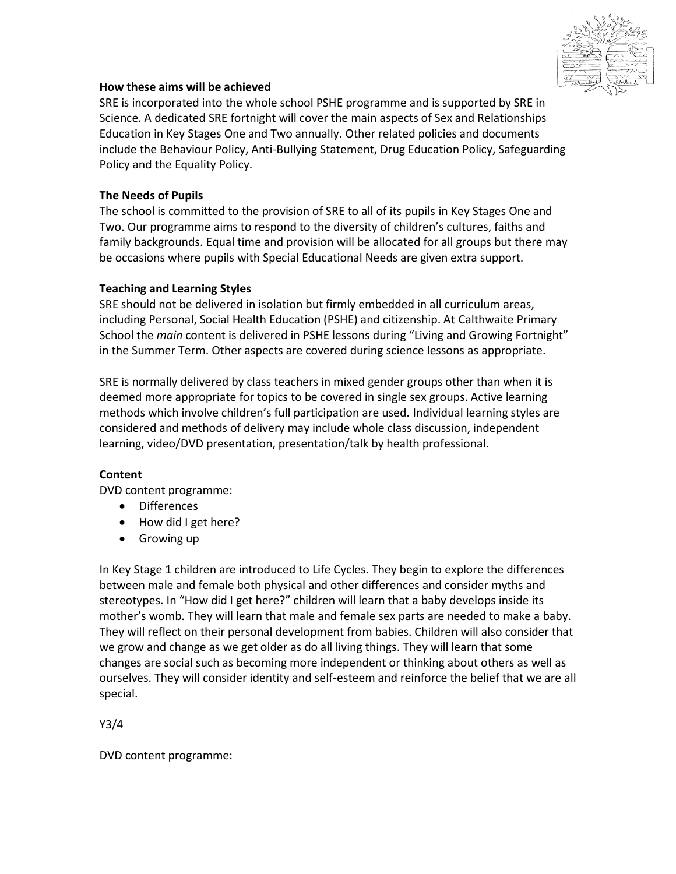

# **How these aims will be achieved**

SRE is incorporated into the whole school PSHE programme and is supported by SRE in Science. A dedicated SRE fortnight will cover the main aspects of Sex and Relationships Education in Key Stages One and Two annually. Other related policies and documents include the Behaviour Policy, Anti-Bullying Statement, Drug Education Policy, Safeguarding Policy and the Equality Policy.

### **The Needs of Pupils**

The school is committed to the provision of SRE to all of its pupils in Key Stages One and Two. Our programme aims to respond to the diversity of children's cultures, faiths and family backgrounds. Equal time and provision will be allocated for all groups but there may be occasions where pupils with Special Educational Needs are given extra support.

#### **Teaching and Learning Styles**

SRE should not be delivered in isolation but firmly embedded in all curriculum areas, including Personal, Social Health Education (PSHE) and citizenship. At Calthwaite Primary School the *main* content is delivered in PSHE lessons during "Living and Growing Fortnight" in the Summer Term. Other aspects are covered during science lessons as appropriate.

SRE is normally delivered by class teachers in mixed gender groups other than when it is deemed more appropriate for topics to be covered in single sex groups. Active learning methods which involve children's full participation are used. Individual learning styles are considered and methods of delivery may include whole class discussion, independent learning, video/DVD presentation, presentation/talk by health professional.

# **Content**

DVD content programme:

- Differences
- How did I get here?
- Growing up

In Key Stage 1 children are introduced to Life Cycles. They begin to explore the differences between male and female both physical and other differences and consider myths and stereotypes. In "How did I get here?" children will learn that a baby develops inside its mother's womb. They will learn that male and female sex parts are needed to make a baby. They will reflect on their personal development from babies. Children will also consider that we grow and change as we get older as do all living things. They will learn that some changes are social such as becoming more independent or thinking about others as well as ourselves. They will consider identity and self-esteem and reinforce the belief that we are all special.

Y3/4

DVD content programme: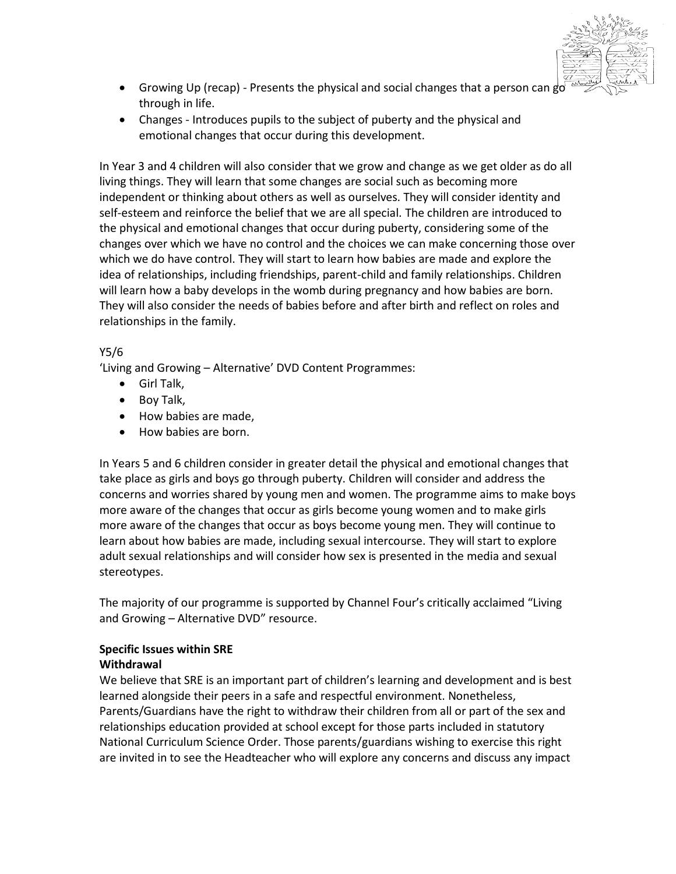

- Growing Up (recap) Presents the physical and social changes that a person can go through in life.
- Changes Introduces pupils to the subject of puberty and the physical and emotional changes that occur during this development.

In Year 3 and 4 children will also consider that we grow and change as we get older as do all living things. They will learn that some changes are social such as becoming more independent or thinking about others as well as ourselves. They will consider identity and self-esteem and reinforce the belief that we are all special. The children are introduced to the physical and emotional changes that occur during puberty, considering some of the changes over which we have no control and the choices we can make concerning those over which we do have control. They will start to learn how babies are made and explore the idea of relationships, including friendships, parent-child and family relationships. Children will learn how a baby develops in the womb during pregnancy and how babies are born. They will also consider the needs of babies before and after birth and reflect on roles and relationships in the family.

# Y5/6

'Living and Growing – Alternative' DVD Content Programmes:

- Girl Talk,
- Boy Talk,
- How babies are made,
- How babies are born.

In Years 5 and 6 children consider in greater detail the physical and emotional changes that take place as girls and boys go through puberty. Children will consider and address the concerns and worries shared by young men and women. The programme aims to make boys more aware of the changes that occur as girls become young women and to make girls more aware of the changes that occur as boys become young men. They will continue to learn about how babies are made, including sexual intercourse. They will start to explore adult sexual relationships and will consider how sex is presented in the media and sexual stereotypes.

The majority of our programme is supported by Channel Four's critically acclaimed "Living and Growing – Alternative DVD" resource.

# **Specific Issues within SRE**

# **Withdrawal**

We believe that SRE is an important part of children's learning and development and is best learned alongside their peers in a safe and respectful environment. Nonetheless, Parents/Guardians have the right to withdraw their children from all or part of the sex and relationships education provided at school except for those parts included in statutory National Curriculum Science Order. Those parents/guardians wishing to exercise this right are invited in to see the Headteacher who will explore any concerns and discuss any impact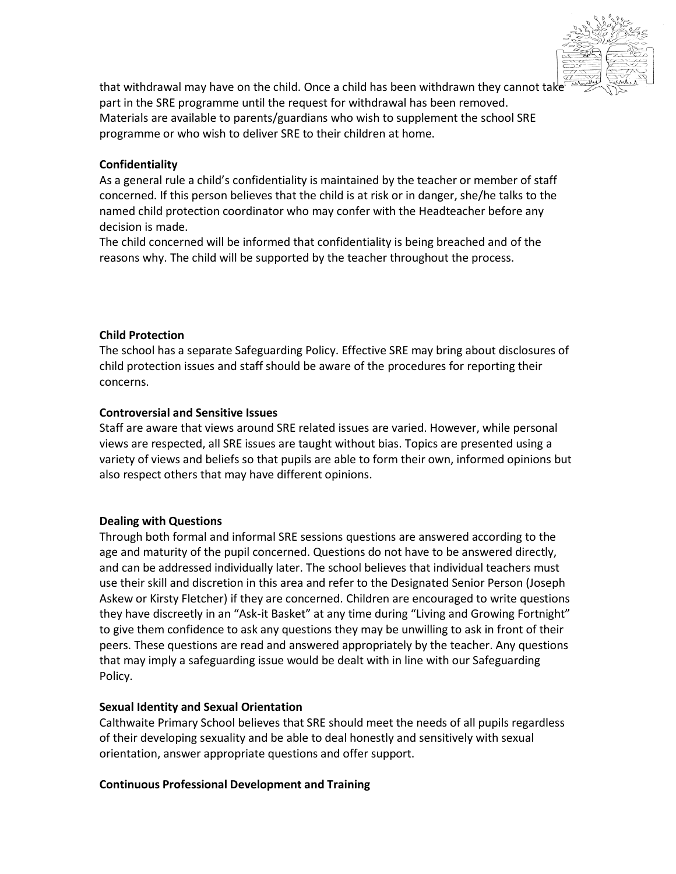

that withdrawal may have on the child. Once a child has been withdrawn they cannot take part in the SRE programme until the request for withdrawal has been removed. Materials are available to parents/guardians who wish to supplement the school SRE programme or who wish to deliver SRE to their children at home.

#### **Confidentiality**

As a general rule a child's confidentiality is maintained by the teacher or member of staff concerned. If this person believes that the child is at risk or in danger, she/he talks to the named child protection coordinator who may confer with the Headteacher before any decision is made.

The child concerned will be informed that confidentiality is being breached and of the reasons why. The child will be supported by the teacher throughout the process.

#### **Child Protection**

The school has a separate Safeguarding Policy. Effective SRE may bring about disclosures of child protection issues and staff should be aware of the procedures for reporting their concerns.

#### **Controversial and Sensitive Issues**

Staff are aware that views around SRE related issues are varied. However, while personal views are respected, all SRE issues are taught without bias. Topics are presented using a variety of views and beliefs so that pupils are able to form their own, informed opinions but also respect others that may have different opinions.

#### **Dealing with Questions**

Through both formal and informal SRE sessions questions are answered according to the age and maturity of the pupil concerned. Questions do not have to be answered directly, and can be addressed individually later. The school believes that individual teachers must use their skill and discretion in this area and refer to the Designated Senior Person (Joseph Askew or Kirsty Fletcher) if they are concerned. Children are encouraged to write questions they have discreetly in an "Ask-it Basket" at any time during "Living and Growing Fortnight" to give them confidence to ask any questions they may be unwilling to ask in front of their peers. These questions are read and answered appropriately by the teacher. Any questions that may imply a safeguarding issue would be dealt with in line with our Safeguarding Policy.

#### **Sexual Identity and Sexual Orientation**

Calthwaite Primary School believes that SRE should meet the needs of all pupils regardless of their developing sexuality and be able to deal honestly and sensitively with sexual orientation, answer appropriate questions and offer support.

#### **Continuous Professional Development and Training**